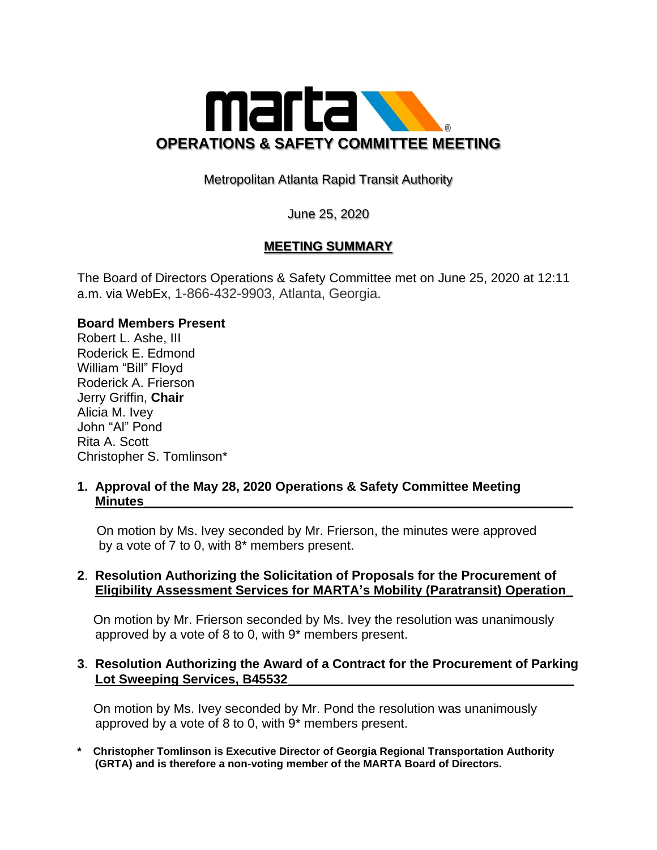

Metropolitan Atlanta Rapid Transit Authority

June 25, 2020

# **MEETING SUMMARY**

The Board of Directors Operations & Safety Committee met on June 25, 2020 at 12:11 a.m. via WebEx, 1-866-432-9903, Atlanta, Georgia.

#### **Board Members Present**

Robert L. Ashe, III Roderick E. Edmond William "Bill" Floyd Roderick A. Frierson Jerry Griffin, **Chair** Alicia M. Ivey John "Al" Pond Rita A. Scott Christopher S. Tomlinson\*

#### **1. Approval of the May 28, 2020 Operations & Safety Committee Meeting Minutes\_\_\_\_\_\_\_\_\_\_\_\_\_\_\_\_\_\_\_\_\_\_\_\_\_\_\_\_\_\_\_\_\_\_\_\_\_\_\_\_\_\_\_\_\_\_\_\_\_\_\_\_\_\_\_\_\_\_\_\_**

 On motion by Ms. Ivey seconded by Mr. Frierson, the minutes were approved by a vote of 7 to 0, with 8\* members present.

## **2**. **Resolution Authorizing the Solicitation of Proposals for the Procurement of Eligibility Assessment Services for MARTA's Mobility (Paratransit) Operation\_**

 On motion by Mr. Frierson seconded by Ms. Ivey the resolution was unanimously approved by a vote of 8 to 0, with 9\* members present.

## **3**. **Resolution Authorizing the Award of a Contract for the Procurement of Parking** Lot Sweeping Services, B45532

 On motion by Ms. Ivey seconded by Mr. Pond the resolution was unanimously approved by a vote of 8 to 0, with 9\* members present.

**\* Christopher Tomlinson is Executive Director of Georgia Regional Transportation Authority (GRTA) and is therefore a non-voting member of the MARTA Board of Directors.**